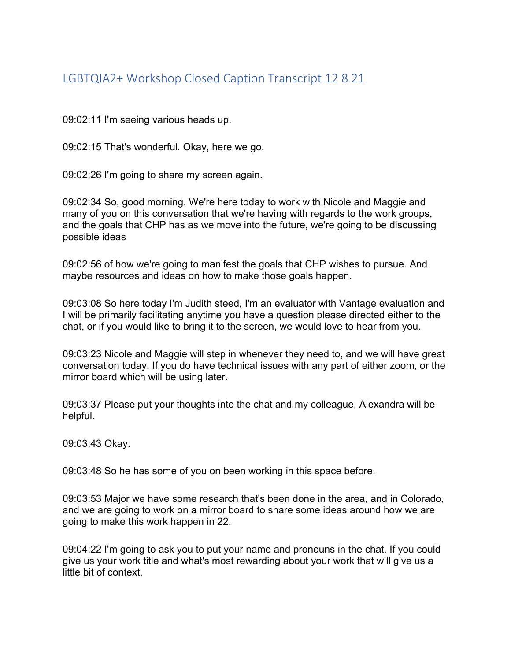## LGBTQIA2+ Workshop Closed Caption Transcript 12 8 21

09:02:11 I'm seeing various heads up.

09:02:15 That's wonderful. Okay, here we go.

09:02:26 I'm going to share my screen again.

09:02:34 So, good morning. We're here today to work with Nicole and Maggie and many of you on this conversation that we're having with regards to the work groups, and the goals that CHP has as we move into the future, we're going to be discussing possible ideas

09:02:56 of how we're going to manifest the goals that CHP wishes to pursue. And maybe resources and ideas on how to make those goals happen.

09:03:08 So here today I'm Judith steed, I'm an evaluator with Vantage evaluation and I will be primarily facilitating anytime you have a question please directed either to the chat, or if you would like to bring it to the screen, we would love to hear from you.

09:03:23 Nicole and Maggie will step in whenever they need to, and we will have great conversation today. If you do have technical issues with any part of either zoom, or the mirror board which will be using later.

09:03:37 Please put your thoughts into the chat and my colleague, Alexandra will be helpful.

09:03:43 Okay.

09:03:48 So he has some of you on been working in this space before.

09:03:53 Major we have some research that's been done in the area, and in Colorado, and we are going to work on a mirror board to share some ideas around how we are going to make this work happen in 22.

09:04:22 I'm going to ask you to put your name and pronouns in the chat. If you could give us your work title and what's most rewarding about your work that will give us a little bit of context.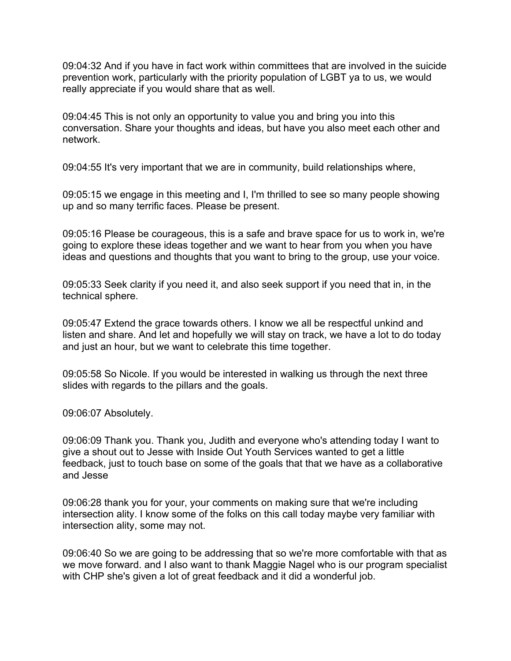09:04:32 And if you have in fact work within committees that are involved in the suicide prevention work, particularly with the priority population of LGBT ya to us, we would really appreciate if you would share that as well.

09:04:45 This is not only an opportunity to value you and bring you into this conversation. Share your thoughts and ideas, but have you also meet each other and network.

09:04:55 It's very important that we are in community, build relationships where,

09:05:15 we engage in this meeting and I, I'm thrilled to see so many people showing up and so many terrific faces. Please be present.

09:05:16 Please be courageous, this is a safe and brave space for us to work in, we're going to explore these ideas together and we want to hear from you when you have ideas and questions and thoughts that you want to bring to the group, use your voice.

09:05:33 Seek clarity if you need it, and also seek support if you need that in, in the technical sphere.

09:05:47 Extend the grace towards others. I know we all be respectful unkind and listen and share. And let and hopefully we will stay on track, we have a lot to do today and just an hour, but we want to celebrate this time together.

09:05:58 So Nicole. If you would be interested in walking us through the next three slides with regards to the pillars and the goals.

09:06:07 Absolutely.

09:06:09 Thank you. Thank you, Judith and everyone who's attending today I want to give a shout out to Jesse with Inside Out Youth Services wanted to get a little feedback, just to touch base on some of the goals that that we have as a collaborative and Jesse

09:06:28 thank you for your, your comments on making sure that we're including intersection ality. I know some of the folks on this call today maybe very familiar with intersection ality, some may not.

09:06:40 So we are going to be addressing that so we're more comfortable with that as we move forward. and I also want to thank Maggie Nagel who is our program specialist with CHP she's given a lot of great feedback and it did a wonderful job.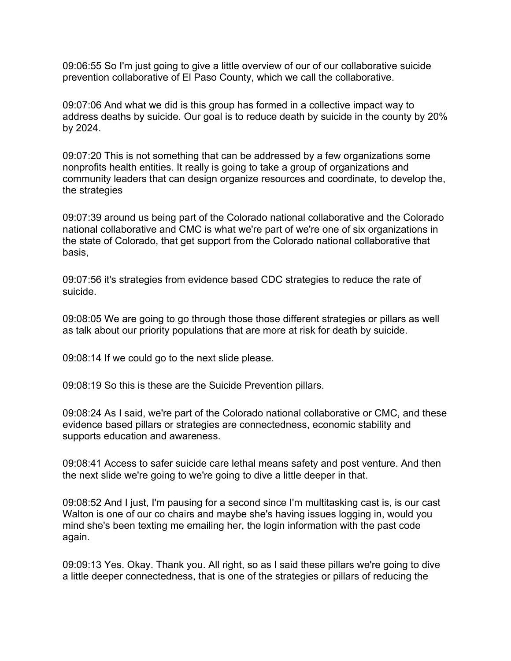09:06:55 So I'm just going to give a little overview of our of our collaborative suicide prevention collaborative of El Paso County, which we call the collaborative.

09:07:06 And what we did is this group has formed in a collective impact way to address deaths by suicide. Our goal is to reduce death by suicide in the county by 20% by 2024.

09:07:20 This is not something that can be addressed by a few organizations some nonprofits health entities. It really is going to take a group of organizations and community leaders that can design organize resources and coordinate, to develop the, the strategies

09:07:39 around us being part of the Colorado national collaborative and the Colorado national collaborative and CMC is what we're part of we're one of six organizations in the state of Colorado, that get support from the Colorado national collaborative that basis,

09:07:56 it's strategies from evidence based CDC strategies to reduce the rate of suicide.

09:08:05 We are going to go through those those different strategies or pillars as well as talk about our priority populations that are more at risk for death by suicide.

09:08:14 If we could go to the next slide please.

09:08:19 So this is these are the Suicide Prevention pillars.

09:08:24 As I said, we're part of the Colorado national collaborative or CMC, and these evidence based pillars or strategies are connectedness, economic stability and supports education and awareness.

09:08:41 Access to safer suicide care lethal means safety and post venture. And then the next slide we're going to we're going to dive a little deeper in that.

09:08:52 And I just, I'm pausing for a second since I'm multitasking cast is, is our cast Walton is one of our co chairs and maybe she's having issues logging in, would you mind she's been texting me emailing her, the login information with the past code again.

09:09:13 Yes. Okay. Thank you. All right, so as I said these pillars we're going to dive a little deeper connectedness, that is one of the strategies or pillars of reducing the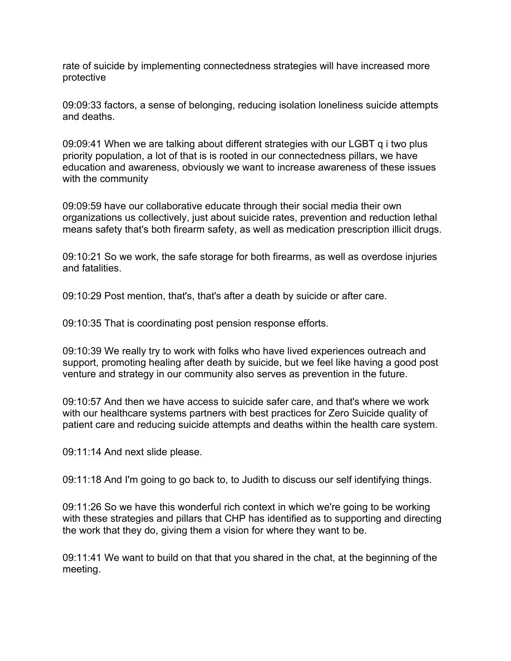rate of suicide by implementing connectedness strategies will have increased more protective

09:09:33 factors, a sense of belonging, reducing isolation loneliness suicide attempts and deaths.

09:09:41 When we are talking about different strategies with our LGBT q i two plus priority population, a lot of that is is rooted in our connectedness pillars, we have education and awareness, obviously we want to increase awareness of these issues with the community

09:09:59 have our collaborative educate through their social media their own organizations us collectively, just about suicide rates, prevention and reduction lethal means safety that's both firearm safety, as well as medication prescription illicit drugs.

09:10:21 So we work, the safe storage for both firearms, as well as overdose injuries and fatalities.

09:10:29 Post mention, that's, that's after a death by suicide or after care.

09:10:35 That is coordinating post pension response efforts.

09:10:39 We really try to work with folks who have lived experiences outreach and support, promoting healing after death by suicide, but we feel like having a good post venture and strategy in our community also serves as prevention in the future.

09:10:57 And then we have access to suicide safer care, and that's where we work with our healthcare systems partners with best practices for Zero Suicide quality of patient care and reducing suicide attempts and deaths within the health care system.

09:11:14 And next slide please.

09:11:18 And I'm going to go back to, to Judith to discuss our self identifying things.

09:11:26 So we have this wonderful rich context in which we're going to be working with these strategies and pillars that CHP has identified as to supporting and directing the work that they do, giving them a vision for where they want to be.

09:11:41 We want to build on that that you shared in the chat, at the beginning of the meeting.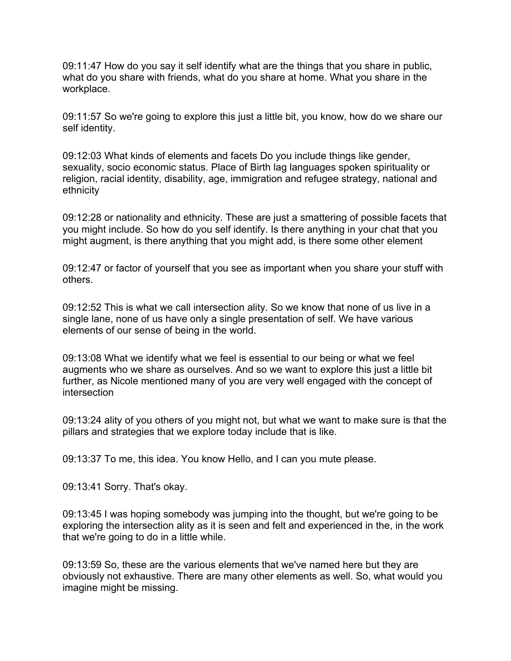09:11:47 How do you say it self identify what are the things that you share in public, what do you share with friends, what do you share at home. What you share in the workplace.

09:11:57 So we're going to explore this just a little bit, you know, how do we share our self identity.

09:12:03 What kinds of elements and facets Do you include things like gender, sexuality, socio economic status. Place of Birth lag languages spoken spirituality or religion, racial identity, disability, age, immigration and refugee strategy, national and ethnicity

09:12:28 or nationality and ethnicity. These are just a smattering of possible facets that you might include. So how do you self identify. Is there anything in your chat that you might augment, is there anything that you might add, is there some other element

09:12:47 or factor of yourself that you see as important when you share your stuff with others.

09:12:52 This is what we call intersection ality. So we know that none of us live in a single lane, none of us have only a single presentation of self. We have various elements of our sense of being in the world.

09:13:08 What we identify what we feel is essential to our being or what we feel augments who we share as ourselves. And so we want to explore this just a little bit further, as Nicole mentioned many of you are very well engaged with the concept of intersection

09:13:24 ality of you others of you might not, but what we want to make sure is that the pillars and strategies that we explore today include that is like.

09:13:37 To me, this idea. You know Hello, and I can you mute please.

09:13:41 Sorry. That's okay.

09:13:45 I was hoping somebody was jumping into the thought, but we're going to be exploring the intersection ality as it is seen and felt and experienced in the, in the work that we're going to do in a little while.

09:13:59 So, these are the various elements that we've named here but they are obviously not exhaustive. There are many other elements as well. So, what would you imagine might be missing.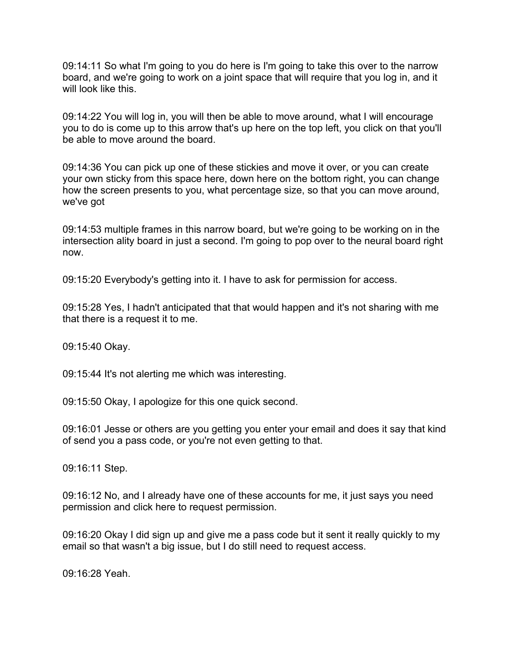09:14:11 So what I'm going to you do here is I'm going to take this over to the narrow board, and we're going to work on a joint space that will require that you log in, and it will look like this.

09:14:22 You will log in, you will then be able to move around, what I will encourage you to do is come up to this arrow that's up here on the top left, you click on that you'll be able to move around the board.

09:14:36 You can pick up one of these stickies and move it over, or you can create your own sticky from this space here, down here on the bottom right, you can change how the screen presents to you, what percentage size, so that you can move around, we've got

09:14:53 multiple frames in this narrow board, but we're going to be working on in the intersection ality board in just a second. I'm going to pop over to the neural board right now.

09:15:20 Everybody's getting into it. I have to ask for permission for access.

09:15:28 Yes, I hadn't anticipated that that would happen and it's not sharing with me that there is a request it to me.

09:15:40 Okay.

09:15:44 It's not alerting me which was interesting.

09:15:50 Okay, I apologize for this one quick second.

09:16:01 Jesse or others are you getting you enter your email and does it say that kind of send you a pass code, or you're not even getting to that.

09:16:11 Step.

09:16:12 No, and I already have one of these accounts for me, it just says you need permission and click here to request permission.

09:16:20 Okay I did sign up and give me a pass code but it sent it really quickly to my email so that wasn't a big issue, but I do still need to request access.

09:16:28 Yeah.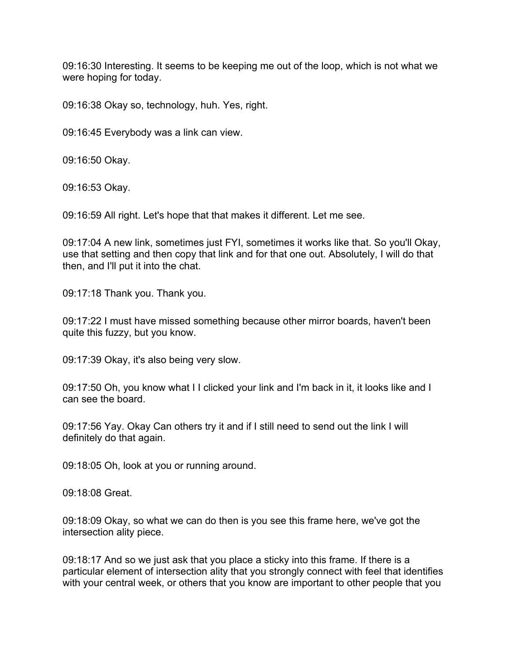09:16:30 Interesting. It seems to be keeping me out of the loop, which is not what we were hoping for today.

09:16:38 Okay so, technology, huh. Yes, right.

09:16:45 Everybody was a link can view.

09:16:50 Okay.

09:16:53 Okay.

09:16:59 All right. Let's hope that that makes it different. Let me see.

09:17:04 A new link, sometimes just FYI, sometimes it works like that. So you'll Okay, use that setting and then copy that link and for that one out. Absolutely, I will do that then, and I'll put it into the chat.

09:17:18 Thank you. Thank you.

09:17:22 I must have missed something because other mirror boards, haven't been quite this fuzzy, but you know.

09:17:39 Okay, it's also being very slow.

09:17:50 Oh, you know what I I clicked your link and I'm back in it, it looks like and I can see the board.

09:17:56 Yay. Okay Can others try it and if I still need to send out the link I will definitely do that again.

09:18:05 Oh, look at you or running around.

09:18:08 Great.

09:18:09 Okay, so what we can do then is you see this frame here, we've got the intersection ality piece.

09:18:17 And so we just ask that you place a sticky into this frame. If there is a particular element of intersection ality that you strongly connect with feel that identifies with your central week, or others that you know are important to other people that you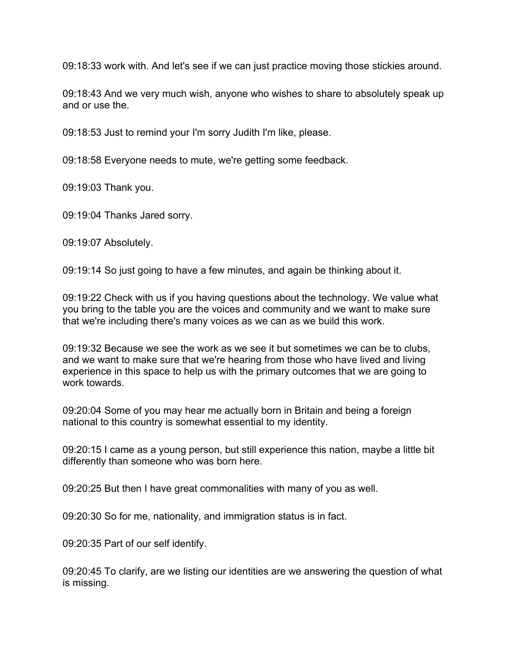09:18:33 work with. And let's see if we can just practice moving those stickies around.

09:18:43 And we very much wish, anyone who wishes to share to absolutely speak up and or use the.

09:18:53 Just to remind your I'm sorry Judith I'm like, please.

09:18:58 Everyone needs to mute, we're getting some feedback.

09:19:03 Thank you.

09:19:04 Thanks Jared sorry.

09:19:07 Absolutely.

09:19:14 So just going to have a few minutes, and again be thinking about it.

09:19:22 Check with us if you having questions about the technology. We value what you bring to the table you are the voices and community and we want to make sure that we're including there's many voices as we can as we build this work.

09:19:32 Because we see the work as we see it but sometimes we can be to clubs, and we want to make sure that we're hearing from those who have lived and living experience in this space to help us with the primary outcomes that we are going to work towards.

09:20:04 Some of you may hear me actually born in Britain and being a foreign national to this country is somewhat essential to my identity.

09:20:15 I came as a young person, but still experience this nation, maybe a little bit differently than someone who was born here.

09:20:25 But then I have great commonalities with many of you as well.

09:20:30 So for me, nationality, and immigration status is in fact.

09:20:35 Part of our self identify.

09:20:45 To clarify, are we listing our identities are we answering the question of what is missing.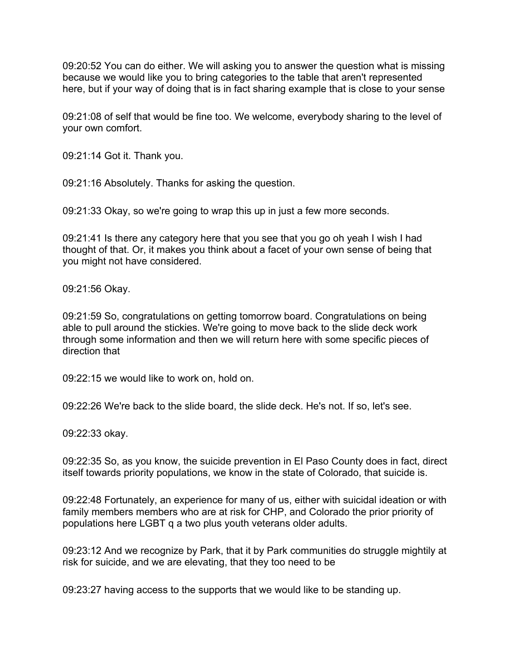09:20:52 You can do either. We will asking you to answer the question what is missing because we would like you to bring categories to the table that aren't represented here, but if your way of doing that is in fact sharing example that is close to your sense

09:21:08 of self that would be fine too. We welcome, everybody sharing to the level of your own comfort.

09:21:14 Got it. Thank you.

09:21:16 Absolutely. Thanks for asking the question.

09:21:33 Okay, so we're going to wrap this up in just a few more seconds.

09:21:41 Is there any category here that you see that you go oh yeah I wish I had thought of that. Or, it makes you think about a facet of your own sense of being that you might not have considered.

09:21:56 Okay.

09:21:59 So, congratulations on getting tomorrow board. Congratulations on being able to pull around the stickies. We're going to move back to the slide deck work through some information and then we will return here with some specific pieces of direction that

09:22:15 we would like to work on, hold on.

09:22:26 We're back to the slide board, the slide deck. He's not. If so, let's see.

09:22:33 okay.

09:22:35 So, as you know, the suicide prevention in El Paso County does in fact, direct itself towards priority populations, we know in the state of Colorado, that suicide is.

09:22:48 Fortunately, an experience for many of us, either with suicidal ideation or with family members members who are at risk for CHP, and Colorado the prior priority of populations here LGBT q a two plus youth veterans older adults.

09:23:12 And we recognize by Park, that it by Park communities do struggle mightily at risk for suicide, and we are elevating, that they too need to be

09:23:27 having access to the supports that we would like to be standing up.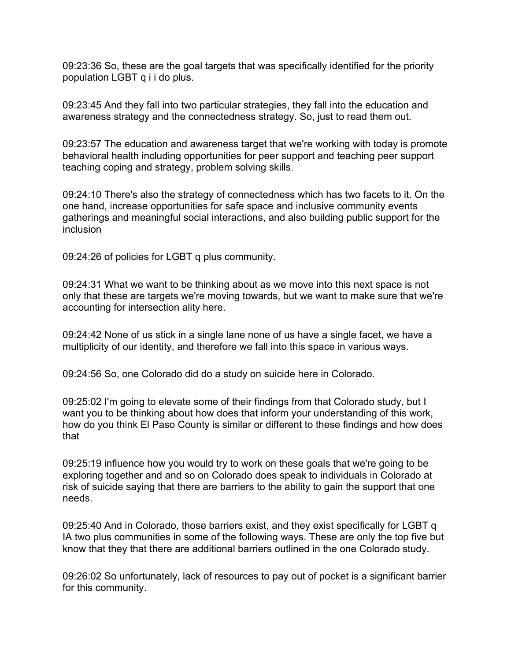09:23:36 So, these are the goal targets that was specifically identified for the priority population LGBT q i i do plus.

09:23:45 And they fall into two particular strategies, they fall into the education and awareness strategy and the connectedness strategy. So, just to read them out.

09:23:57 The education and awareness target that we're working with today is promote behavioral health including opportunities for peer support and teaching peer support teaching coping and strategy, problem solving skills.

09:24:10 There's also the strategy of connectedness which has two facets to it. On the one hand, increase opportunities for safe space and inclusive community events gatherings and meaningful social interactions, and also building public support for the inclusion

09:24:26 of policies for LGBT q plus community.

09:24:31 What we want to be thinking about as we move into this next space is not only that these are targets we're moving towards, but we want to make sure that we're accounting for intersection ality here.

09:24:42 None of us stick in a single lane none of us have a single facet, we have a multiplicity of our identity, and therefore we fall into this space in various ways.

09:24:56 So, one Colorado did do a study on suicide here in Colorado.

09:25:02 I'm going to elevate some of their findings from that Colorado study, but I want you to be thinking about how does that inform your understanding of this work, how do you think El Paso County is similar or different to these findings and how does that

09:25:19 influence how you would try to work on these goals that we're going to be exploring together and and so on Colorado does speak to individuals in Colorado at risk of suicide saying that there are barriers to the ability to gain the support that one needs.

09:25:40 And in Colorado, those barriers exist, and they exist specifically for LGBT q IA two plus communities in some of the following ways. These are only the top five but know that they that there are additional barriers outlined in the one Colorado study.

09:26:02 So unfortunately, lack of resources to pay out of pocket is a significant barrier for this community.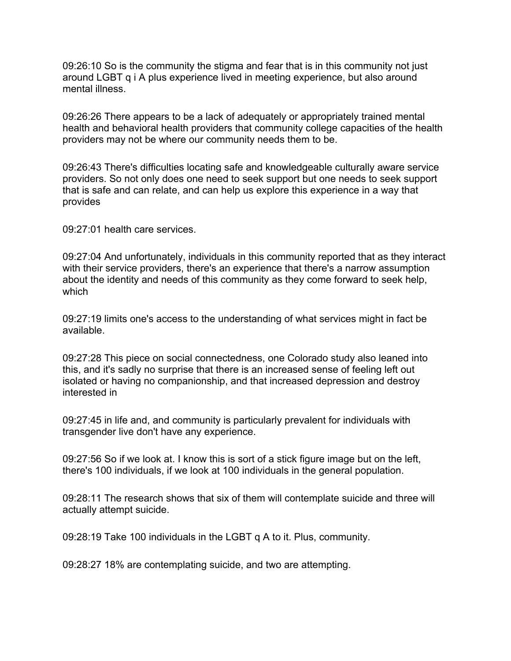09:26:10 So is the community the stigma and fear that is in this community not just around LGBT q i A plus experience lived in meeting experience, but also around mental illness.

09:26:26 There appears to be a lack of adequately or appropriately trained mental health and behavioral health providers that community college capacities of the health providers may not be where our community needs them to be.

09:26:43 There's difficulties locating safe and knowledgeable culturally aware service providers. So not only does one need to seek support but one needs to seek support that is safe and can relate, and can help us explore this experience in a way that provides

09:27:01 health care services.

09:27:04 And unfortunately, individuals in this community reported that as they interact with their service providers, there's an experience that there's a narrow assumption about the identity and needs of this community as they come forward to seek help, which

09:27:19 limits one's access to the understanding of what services might in fact be available.

09:27:28 This piece on social connectedness, one Colorado study also leaned into this, and it's sadly no surprise that there is an increased sense of feeling left out isolated or having no companionship, and that increased depression and destroy interested in

09:27:45 in life and, and community is particularly prevalent for individuals with transgender live don't have any experience.

09:27:56 So if we look at. I know this is sort of a stick figure image but on the left, there's 100 individuals, if we look at 100 individuals in the general population.

09:28:11 The research shows that six of them will contemplate suicide and three will actually attempt suicide.

09:28:19 Take 100 individuals in the LGBT q A to it. Plus, community.

09:28:27 18% are contemplating suicide, and two are attempting.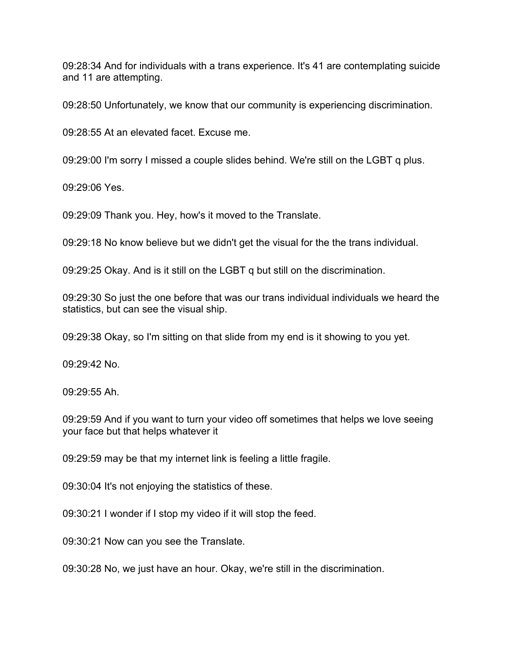09:28:34 And for individuals with a trans experience. It's 41 are contemplating suicide and 11 are attempting.

09:28:50 Unfortunately, we know that our community is experiencing discrimination.

09:28:55 At an elevated facet. Excuse me.

09:29:00 I'm sorry I missed a couple slides behind. We're still on the LGBT q plus.

09:29:06 Yes.

09:29:09 Thank you. Hey, how's it moved to the Translate.

09:29:18 No know believe but we didn't get the visual for the the trans individual.

09:29:25 Okay. And is it still on the LGBT q but still on the discrimination.

09:29:30 So just the one before that was our trans individual individuals we heard the statistics, but can see the visual ship.

09:29:38 Okay, so I'm sitting on that slide from my end is it showing to you yet.

09:29:42 No.

09:29:55 Ah.

09:29:59 And if you want to turn your video off sometimes that helps we love seeing your face but that helps whatever it

09:29:59 may be that my internet link is feeling a little fragile.

09:30:04 It's not enjoying the statistics of these.

09:30:21 I wonder if I stop my video if it will stop the feed.

09:30:21 Now can you see the Translate.

09:30:28 No, we just have an hour. Okay, we're still in the discrimination.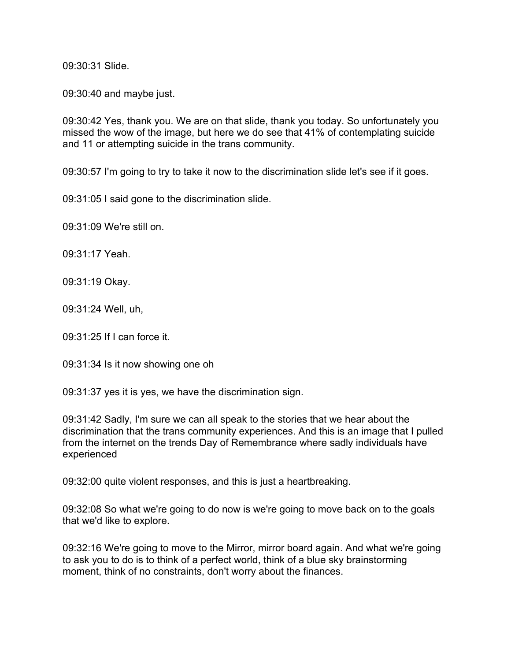09:30:31 Slide.

09:30:40 and maybe just.

09:30:42 Yes, thank you. We are on that slide, thank you today. So unfortunately you missed the wow of the image, but here we do see that 41% of contemplating suicide and 11 or attempting suicide in the trans community.

09:30:57 I'm going to try to take it now to the discrimination slide let's see if it goes.

09:31:05 I said gone to the discrimination slide.

09:31:09 We're still on.

09:31:17 Yeah.

09:31:19 Okay.

09:31:24 Well, uh,

09:31:25 If I can force it.

09:31:34 Is it now showing one oh

09:31:37 yes it is yes, we have the discrimination sign.

09:31:42 Sadly, I'm sure we can all speak to the stories that we hear about the discrimination that the trans community experiences. And this is an image that I pulled from the internet on the trends Day of Remembrance where sadly individuals have experienced

09:32:00 quite violent responses, and this is just a heartbreaking.

09:32:08 So what we're going to do now is we're going to move back on to the goals that we'd like to explore.

09:32:16 We're going to move to the Mirror, mirror board again. And what we're going to ask you to do is to think of a perfect world, think of a blue sky brainstorming moment, think of no constraints, don't worry about the finances.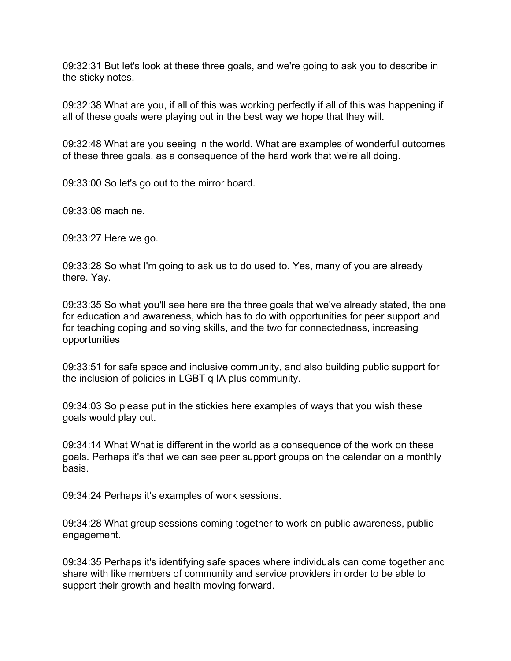09:32:31 But let's look at these three goals, and we're going to ask you to describe in the sticky notes.

09:32:38 What are you, if all of this was working perfectly if all of this was happening if all of these goals were playing out in the best way we hope that they will.

09:32:48 What are you seeing in the world. What are examples of wonderful outcomes of these three goals, as a consequence of the hard work that we're all doing.

09:33:00 So let's go out to the mirror board.

09:33:08 machine.

09:33:27 Here we go.

09:33:28 So what I'm going to ask us to do used to. Yes, many of you are already there. Yay.

09:33:35 So what you'll see here are the three goals that we've already stated, the one for education and awareness, which has to do with opportunities for peer support and for teaching coping and solving skills, and the two for connectedness, increasing opportunities

09:33:51 for safe space and inclusive community, and also building public support for the inclusion of policies in LGBT q IA plus community.

09:34:03 So please put in the stickies here examples of ways that you wish these goals would play out.

09:34:14 What What is different in the world as a consequence of the work on these goals. Perhaps it's that we can see peer support groups on the calendar on a monthly basis.

09:34:24 Perhaps it's examples of work sessions.

09:34:28 What group sessions coming together to work on public awareness, public engagement.

09:34:35 Perhaps it's identifying safe spaces where individuals can come together and share with like members of community and service providers in order to be able to support their growth and health moving forward.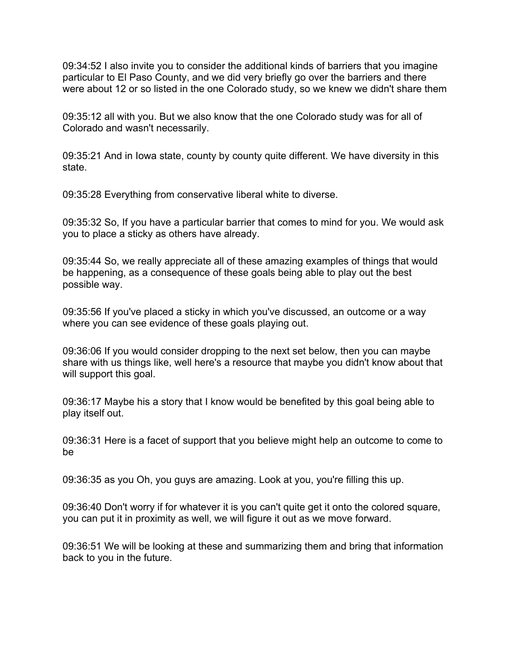09:34:52 I also invite you to consider the additional kinds of barriers that you imagine particular to El Paso County, and we did very briefly go over the barriers and there were about 12 or so listed in the one Colorado study, so we knew we didn't share them

09:35:12 all with you. But we also know that the one Colorado study was for all of Colorado and wasn't necessarily.

09:35:21 And in Iowa state, county by county quite different. We have diversity in this state.

09:35:28 Everything from conservative liberal white to diverse.

09:35:32 So, If you have a particular barrier that comes to mind for you. We would ask you to place a sticky as others have already.

09:35:44 So, we really appreciate all of these amazing examples of things that would be happening, as a consequence of these goals being able to play out the best possible way.

09:35:56 If you've placed a sticky in which you've discussed, an outcome or a way where you can see evidence of these goals playing out.

09:36:06 If you would consider dropping to the next set below, then you can maybe share with us things like, well here's a resource that maybe you didn't know about that will support this goal.

09:36:17 Maybe his a story that I know would be benefited by this goal being able to play itself out.

09:36:31 Here is a facet of support that you believe might help an outcome to come to be

09:36:35 as you Oh, you guys are amazing. Look at you, you're filling this up.

09:36:40 Don't worry if for whatever it is you can't quite get it onto the colored square, you can put it in proximity as well, we will figure it out as we move forward.

09:36:51 We will be looking at these and summarizing them and bring that information back to you in the future.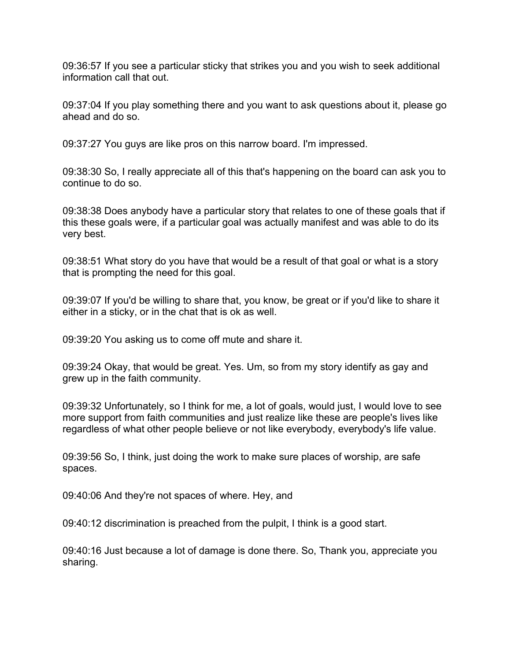09:36:57 If you see a particular sticky that strikes you and you wish to seek additional information call that out.

09:37:04 If you play something there and you want to ask questions about it, please go ahead and do so.

09:37:27 You guys are like pros on this narrow board. I'm impressed.

09:38:30 So, I really appreciate all of this that's happening on the board can ask you to continue to do so.

09:38:38 Does anybody have a particular story that relates to one of these goals that if this these goals were, if a particular goal was actually manifest and was able to do its very best.

09:38:51 What story do you have that would be a result of that goal or what is a story that is prompting the need for this goal.

09:39:07 If you'd be willing to share that, you know, be great or if you'd like to share it either in a sticky, or in the chat that is ok as well.

09:39:20 You asking us to come off mute and share it.

09:39:24 Okay, that would be great. Yes. Um, so from my story identify as gay and grew up in the faith community.

09:39:32 Unfortunately, so I think for me, a lot of goals, would just, I would love to see more support from faith communities and just realize like these are people's lives like regardless of what other people believe or not like everybody, everybody's life value.

09:39:56 So, I think, just doing the work to make sure places of worship, are safe spaces.

09:40:06 And they're not spaces of where. Hey, and

09:40:12 discrimination is preached from the pulpit, I think is a good start.

09:40:16 Just because a lot of damage is done there. So, Thank you, appreciate you sharing.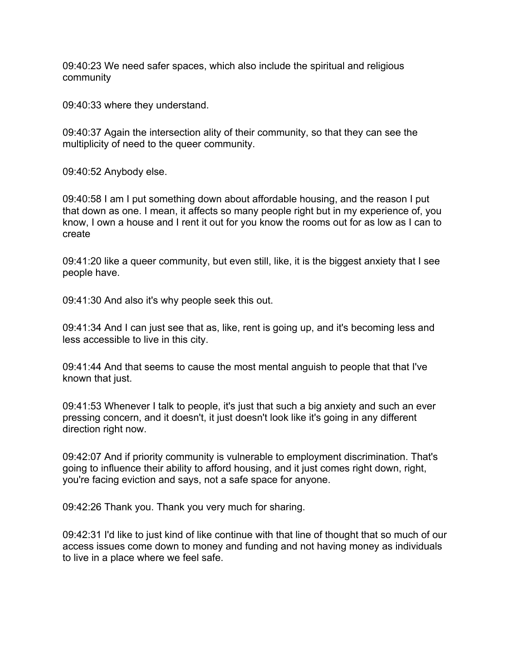09:40:23 We need safer spaces, which also include the spiritual and religious community

09:40:33 where they understand.

09:40:37 Again the intersection ality of their community, so that they can see the multiplicity of need to the queer community.

09:40:52 Anybody else.

09:40:58 I am I put something down about affordable housing, and the reason I put that down as one. I mean, it affects so many people right but in my experience of, you know, I own a house and I rent it out for you know the rooms out for as low as I can to create

09:41:20 like a queer community, but even still, like, it is the biggest anxiety that I see people have.

09:41:30 And also it's why people seek this out.

09:41:34 And I can just see that as, like, rent is going up, and it's becoming less and less accessible to live in this city.

09:41:44 And that seems to cause the most mental anguish to people that that I've known that just.

09:41:53 Whenever I talk to people, it's just that such a big anxiety and such an ever pressing concern, and it doesn't, it just doesn't look like it's going in any different direction right now.

09:42:07 And if priority community is vulnerable to employment discrimination. That's going to influence their ability to afford housing, and it just comes right down, right, you're facing eviction and says, not a safe space for anyone.

09:42:26 Thank you. Thank you very much for sharing.

09:42:31 I'd like to just kind of like continue with that line of thought that so much of our access issues come down to money and funding and not having money as individuals to live in a place where we feel safe.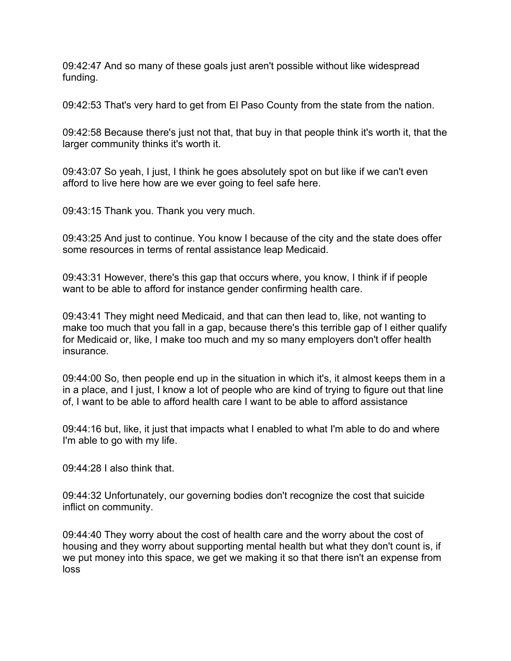09:42:47 And so many of these goals just aren't possible without like widespread funding.

09:42:53 That's very hard to get from El Paso County from the state from the nation.

09:42:58 Because there's just not that, that buy in that people think it's worth it, that the larger community thinks it's worth it.

09:43:07 So yeah, I just, I think he goes absolutely spot on but like if we can't even afford to live here how are we ever going to feel safe here.

09:43:15 Thank you. Thank you very much.

09:43:25 And just to continue. You know I because of the city and the state does offer some resources in terms of rental assistance leap Medicaid.

09:43:31 However, there's this gap that occurs where, you know, I think if if people want to be able to afford for instance gender confirming health care.

09:43:41 They might need Medicaid, and that can then lead to, like, not wanting to make too much that you fall in a gap, because there's this terrible gap of I either qualify for Medicaid or, like, I make too much and my so many employers don't offer health insurance.

09:44:00 So, then people end up in the situation in which it's, it almost keeps them in a in a place, and I just, I know a lot of people who are kind of trying to figure out that line of, I want to be able to afford health care I want to be able to afford assistance

09:44:16 but, like, it just that impacts what I enabled to what I'm able to do and where I'm able to go with my life.

09:44:28 I also think that.

09:44:32 Unfortunately, our governing bodies don't recognize the cost that suicide inflict on community.

09:44:40 They worry about the cost of health care and the worry about the cost of housing and they worry about supporting mental health but what they don't count is, if we put money into this space, we get we making it so that there isn't an expense from loss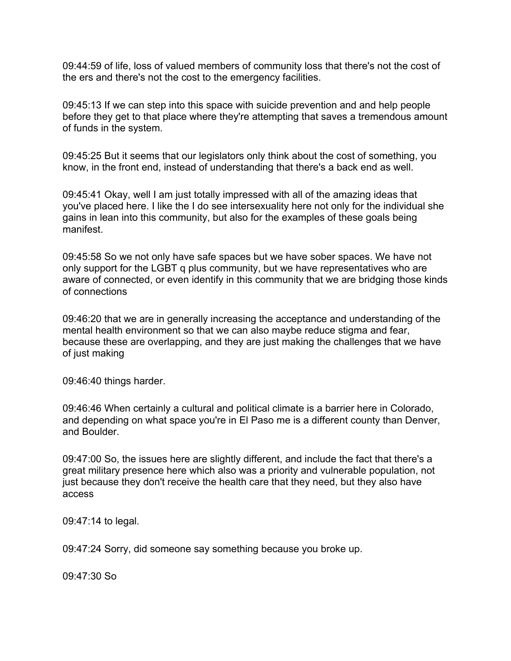09:44:59 of life, loss of valued members of community loss that there's not the cost of the ers and there's not the cost to the emergency facilities.

09:45:13 If we can step into this space with suicide prevention and and help people before they get to that place where they're attempting that saves a tremendous amount of funds in the system.

09:45:25 But it seems that our legislators only think about the cost of something, you know, in the front end, instead of understanding that there's a back end as well.

09:45:41 Okay, well I am just totally impressed with all of the amazing ideas that you've placed here. I like the I do see intersexuality here not only for the individual she gains in lean into this community, but also for the examples of these goals being manifest.

09:45:58 So we not only have safe spaces but we have sober spaces. We have not only support for the LGBT q plus community, but we have representatives who are aware of connected, or even identify in this community that we are bridging those kinds of connections

09:46:20 that we are in generally increasing the acceptance and understanding of the mental health environment so that we can also maybe reduce stigma and fear, because these are overlapping, and they are just making the challenges that we have of just making

09:46:40 things harder.

09:46:46 When certainly a cultural and political climate is a barrier here in Colorado, and depending on what space you're in El Paso me is a different county than Denver, and Boulder.

09:47:00 So, the issues here are slightly different, and include the fact that there's a great military presence here which also was a priority and vulnerable population, not just because they don't receive the health care that they need, but they also have access

09:47:14 to legal.

09:47:24 Sorry, did someone say something because you broke up.

09:47:30 So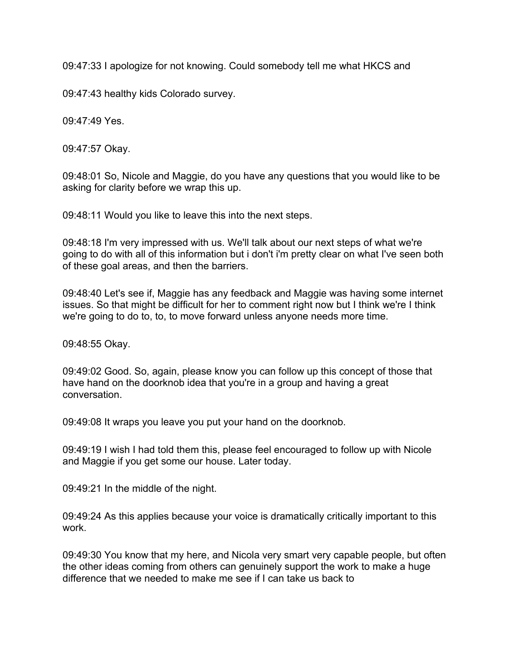09:47:33 I apologize for not knowing. Could somebody tell me what HKCS and

09:47:43 healthy kids Colorado survey.

09:47:49 Yes.

09:47:57 Okay.

09:48:01 So, Nicole and Maggie, do you have any questions that you would like to be asking for clarity before we wrap this up.

09:48:11 Would you like to leave this into the next steps.

09:48:18 I'm very impressed with us. We'll talk about our next steps of what we're going to do with all of this information but i don't i'm pretty clear on what I've seen both of these goal areas, and then the barriers.

09:48:40 Let's see if, Maggie has any feedback and Maggie was having some internet issues. So that might be difficult for her to comment right now but I think we're I think we're going to do to, to, to move forward unless anyone needs more time.

09:48:55 Okay.

09:49:02 Good. So, again, please know you can follow up this concept of those that have hand on the doorknob idea that you're in a group and having a great conversation.

09:49:08 It wraps you leave you put your hand on the doorknob.

09:49:19 I wish I had told them this, please feel encouraged to follow up with Nicole and Maggie if you get some our house. Later today.

09:49:21 In the middle of the night.

09:49:24 As this applies because your voice is dramatically critically important to this work.

09:49:30 You know that my here, and Nicola very smart very capable people, but often the other ideas coming from others can genuinely support the work to make a huge difference that we needed to make me see if I can take us back to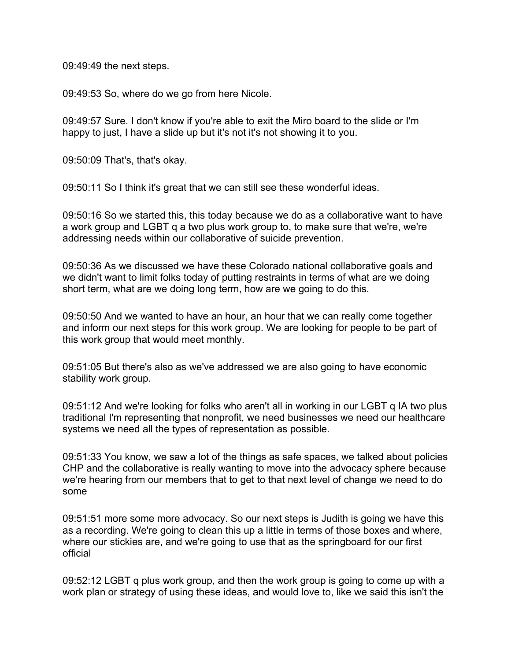09:49:49 the next steps.

09:49:53 So, where do we go from here Nicole.

09:49:57 Sure. I don't know if you're able to exit the Miro board to the slide or I'm happy to just, I have a slide up but it's not it's not showing it to you.

09:50:09 That's, that's okay.

09:50:11 So I think it's great that we can still see these wonderful ideas.

09:50:16 So we started this, this today because we do as a collaborative want to have a work group and LGBT q a two plus work group to, to make sure that we're, we're addressing needs within our collaborative of suicide prevention.

09:50:36 As we discussed we have these Colorado national collaborative goals and we didn't want to limit folks today of putting restraints in terms of what are we doing short term, what are we doing long term, how are we going to do this.

09:50:50 And we wanted to have an hour, an hour that we can really come together and inform our next steps for this work group. We are looking for people to be part of this work group that would meet monthly.

09:51:05 But there's also as we've addressed we are also going to have economic stability work group.

09:51:12 And we're looking for folks who aren't all in working in our LGBT q IA two plus traditional I'm representing that nonprofit, we need businesses we need our healthcare systems we need all the types of representation as possible.

09:51:33 You know, we saw a lot of the things as safe spaces, we talked about policies CHP and the collaborative is really wanting to move into the advocacy sphere because we're hearing from our members that to get to that next level of change we need to do some

09:51:51 more some more advocacy. So our next steps is Judith is going we have this as a recording. We're going to clean this up a little in terms of those boxes and where, where our stickies are, and we're going to use that as the springboard for our first official

09:52:12 LGBT q plus work group, and then the work group is going to come up with a work plan or strategy of using these ideas, and would love to, like we said this isn't the